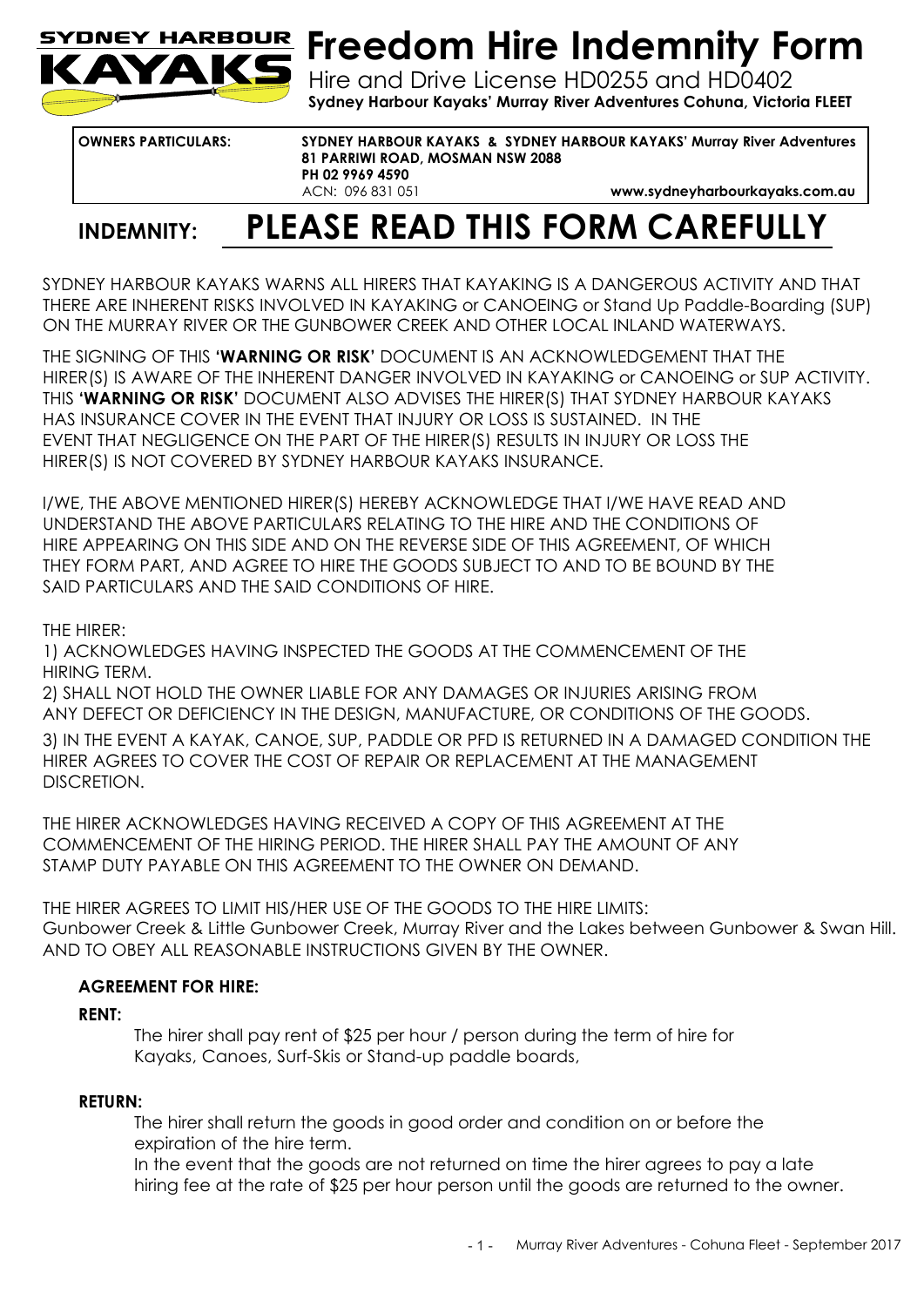

# **Freedom Hire Indemnity Form**

Hire and Drive License HD0255 and HD0402 **Sydney Harbour Kayaks' Murray River Adventures Cohuna, Victoria FLEET** 

**OWNERS PARTICULARS: SYDNEY HARBOUR KAYAKS & SYDNEY HARBOUR KAYAKS' Murray River Adventures 81 PARRIWI ROAD, MOSMAN NSW 2088 PH 02 9969 4590**  ACN: 096 831 051 **www.sydneyharbourkayaks.com.au** 

### **INDEMNITY: PLEASE READ THIS FORM CAREFULLY**

SYDNEY HARBOUR KAYAKS WARNS ALL HIRERS THAT KAYAKING IS A DANGEROUS ACTIVITY AND THAT THERE ARE INHERENT RISKS INVOLVED IN KAYAKING or CANOEING or Stand Up Paddle-Boarding (SUP) ON THE MURRAY RIVER OR THE GUNBOWER CREEK AND OTHER LOCAL INLAND WATERWAYS.

THE SIGNING OF THIS **'WARNING OR RISK'** DOCUMENT IS AN ACKNOWLEDGEMENT THAT THE HIRER(S) IS AWARE OF THE INHERENT DANGER INVOLVED IN KAYAKING or CANOEING or SUP ACTIVITY. THIS **'WARNING OR RISK'** DOCUMENT ALSO ADVISES THE HIRER(S) THAT SYDNEY HARBOUR KAYAKS HAS INSURANCE COVER IN THE EVENT THAT INJURY OR LOSS IS SUSTAINED. IN THE EVENT THAT NEGLIGENCE ON THE PART OF THE HIRER(S) RESULTS IN INJURY OR LOSS THE HIRER(S) IS NOT COVERED BY SYDNEY HARBOUR KAYAKS INSURANCE.

I/WE, THE ABOVE MENTIONED HIRER(S) HEREBY ACKNOWLEDGE THAT I/WE HAVE READ AND UNDERSTAND THE ABOVE PARTICULARS RELATING TO THE HIRE AND THE CONDITIONS OF HIRE APPEARING ON THIS SIDE AND ON THE REVERSE SIDE OF THIS AGREEMENT, OF WHICH THEY FORM PART, AND AGREE TO HIRE THE GOODS SUBJECT TO AND TO BE BOUND BY THE SAID PARTICULARS AND THE SAID CONDITIONS OF HIRE.

### THE HIRER:

1) ACKNOWLEDGES HAVING INSPECTED THE GOODS AT THE COMMENCEMENT OF THE HIRING TERM.

2) SHALL NOT HOLD THE OWNER LIABLE FOR ANY DAMAGES OR INJURIES ARISING FROM ANY DEFECT OR DEFICIENCY IN THE DESIGN, MANUFACTURE, OR CONDITIONS OF THE GOODS. 3) IN THE EVENT A KAYAK, CANOE, SUP, PADDLE OR PFD IS RETURNED IN A DAMAGED CONDITION THE HIRER AGREES TO COVER THE COST OF REPAIR OR REPLACEMENT AT THE MANAGEMENT DISCRETION.

THE HIRER ACKNOWLEDGES HAVING RECEIVED A COPY OF THIS AGREEMENT AT THE COMMENCEMENT OF THE HIRING PERIOD. THE HIRER SHALL PAY THE AMOUNT OF ANY STAMP DUTY PAYABLE ON THIS AGREEMENT TO THE OWNER ON DEMAND.

THE HIRER AGREES TO LIMIT HIS/HER USE OF THE GOODS TO THE HIRE LIMITS: Gunbower Creek & Little Gunbower Creek, Murray River and the Lakes between Gunbower & Swan Hill. AND TO OBEY ALL REASONABLE INSTRUCTIONS GIVEN BY THE OWNER.

### **AGREEMENT FOR HIRE:**

### **RENT:**

The hirer shall pay rent of \$25 per hour / person during the term of hire for Kayaks, Canoes, Surf-Skis or Stand-up paddle boards,

### **RETURN:**

The hirer shall return the goods in good order and condition on or before the expiration of the hire term.

In the event that the goods are not returned on time the hirer agrees to pay a late hiring fee at the rate of \$25 per hour person until the goods are returned to the owner.